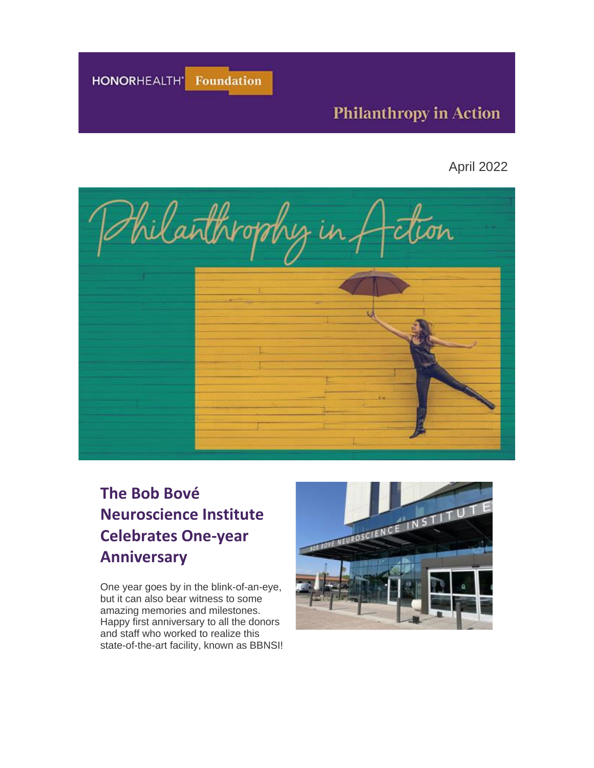HONORHEALTH' Foundation

## **Philanthropy in Action**

April 2022



# **The Bob Bové Neuroscience Institute Celebrates One-year Anniversary**

One year goes by in the blink-of-an-eye, but it can also bear witness to some amazing memories and milestones. Happy first anniversary to all the donors and staff who worked to realize this state-of-the-art facility, known as BBNSI!

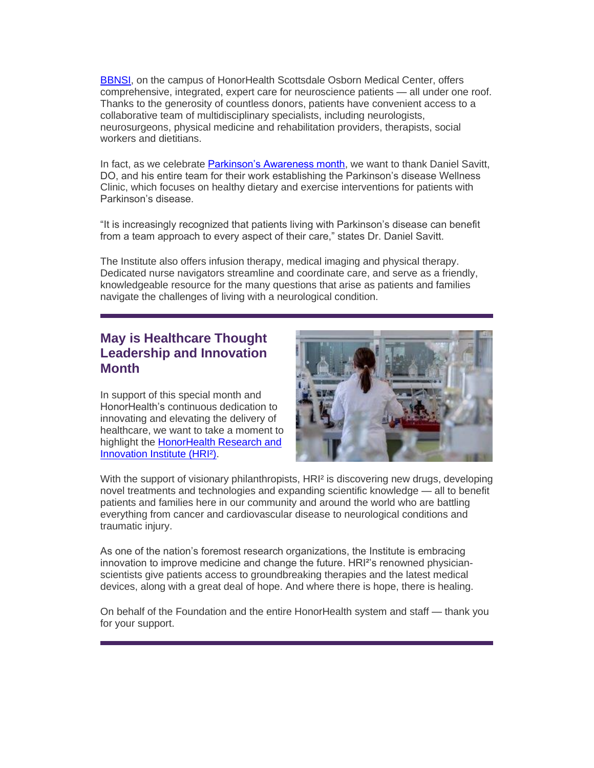[BBNSI,](https://urldefense.com/v3/__https:/eml-pusa01.app.blackbaud.net/intv2/j/85620EF5-FA44-4137-9FA3-E70D337BEF54/r/85620EF5-FA44-4137-9FA3-E70D337BEF54_4be9cca0-6b76-42eb-935e-ca016feb4243/l/9D796D0F-2EC3-4964-8ACC-2D583E255F19/c__;!!AtGvImiT!2fXxGg7TbNLjm-SM5isA1ob7abRdGDYaRXo9MtV19av9FjYIc20uwPyQvh4FMI46ZYXWxPurpZTRJXruJMr8IsA4Pg$) on the campus of HonorHealth Scottsdale Osborn Medical Center, offers comprehensive, integrated, expert care for neuroscience patients — all under one roof. Thanks to the generosity of countless donors, patients have convenient access to a collaborative team of multidisciplinary specialists, including neurologists, neurosurgeons, physical medicine and rehabilitation providers, therapists, social workers and dietitians.

In fact, as we celebrate [Parkinson's Awareness month,](https://urldefense.com/v3/__https:/eml-pusa01.app.blackbaud.net/intv2/j/85620EF5-FA44-4137-9FA3-E70D337BEF54/r/85620EF5-FA44-4137-9FA3-E70D337BEF54_4be9cca0-6b76-42eb-935e-ca016feb4243/l/42ACC972-58F2-44DE-B46F-145BCC5EF749/c__;!!AtGvImiT!2fXxGg7TbNLjm-SM5isA1ob7abRdGDYaRXo9MtV19av9FjYIc20uwPyQvh4FMI46ZYXWxPurpZTRJXruJMrYoWTmLw$) we want to thank Daniel Savitt, DO, and his entire team for their work establishing the Parkinson's disease Wellness Clinic, which focuses on healthy dietary and exercise interventions for patients with Parkinson's disease.

"It is increasingly recognized that patients living with Parkinson's disease can benefit from a team approach to every aspect of their care," states Dr. Daniel Savitt.

The Institute also offers infusion therapy, medical imaging and physical therapy. Dedicated nurse navigators streamline and coordinate care, and serve as a friendly, knowledgeable resource for the many questions that arise as patients and families navigate the challenges of living with a neurological condition.

### **May is Healthcare Thought Leadership and Innovation Month**

In support of this special month and HonorHealth's continuous dedication to innovating and elevating the delivery of healthcare, we want to take a moment to highlight the [HonorHealth Research and](https://urldefense.com/v3/__https:/eml-pusa01.app.blackbaud.net/intv2/j/85620EF5-FA44-4137-9FA3-E70D337BEF54/r/85620EF5-FA44-4137-9FA3-E70D337BEF54_4be9cca0-6b76-42eb-935e-ca016feb4243/l/E29F0AE7-6D25-4A4C-9DC9-A5B956170993/c__;!!AtGvImiT!2fXxGg7TbNLjm-SM5isA1ob7abRdGDYaRXo9MtV19av9FjYIc20uwPyQvh4FMI46ZYXWxPurpZTRJXruJMr-Wf7EwA$)  [Innovation Institute](https://urldefense.com/v3/__https:/eml-pusa01.app.blackbaud.net/intv2/j/85620EF5-FA44-4137-9FA3-E70D337BEF54/r/85620EF5-FA44-4137-9FA3-E70D337BEF54_4be9cca0-6b76-42eb-935e-ca016feb4243/l/E29F0AE7-6D25-4A4C-9DC9-A5B956170993/c__;!!AtGvImiT!2fXxGg7TbNLjm-SM5isA1ob7abRdGDYaRXo9MtV19av9FjYIc20uwPyQvh4FMI46ZYXWxPurpZTRJXruJMr-Wf7EwA$) (HRI²).



With the support of visionary philanthropists, HRI<sup>2</sup> is discovering new drugs, developing novel treatments and technologies and expanding scientific knowledge — all to benefit patients and families here in our community and around the world who are battling everything from cancer and cardiovascular disease to neurological conditions and traumatic injury.

As one of the nation's foremost research organizations, the Institute is embracing innovation to improve medicine and change the future. HRI²'s renowned physicianscientists give patients access to groundbreaking therapies and the latest medical devices, along with a great deal of hope. And where there is hope, there is healing.

On behalf of the Foundation and the entire HonorHealth system and staff — thank you for your support.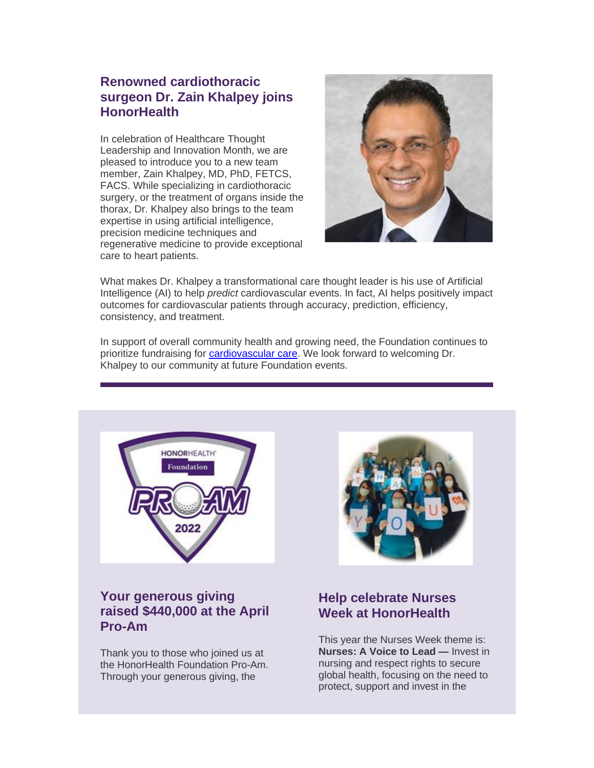### **Renowned cardiothoracic surgeon Dr. Zain Khalpey joins HonorHealth**

In celebration of Healthcare Thought Leadership and Innovation Month, we are pleased to introduce you to a new team member, Zain Khalpey, MD, PhD, FETCS, FACS. While specializing in cardiothoracic surgery, or the treatment of organs inside the thorax, Dr. Khalpey also brings to the team expertise in using artificial intelligence, precision medicine techniques and regenerative medicine to provide exceptional care to heart patients.



What makes Dr. Khalpey a transformational care thought leader is his use of Artificial Intelligence (AI) to help *predict* cardiovascular events. In fact, AI helps positively impact outcomes for cardiovascular patients through accuracy, prediction, efficiency, consistency, and treatment.

In support of overall community health and growing need, the Foundation continues to prioritize fundraising for [cardiovascular care.](https://urldefense.com/v3/__https:/eml-pusa01.app.blackbaud.net/intv2/j/85620EF5-FA44-4137-9FA3-E70D337BEF54/r/85620EF5-FA44-4137-9FA3-E70D337BEF54_4be9cca0-6b76-42eb-935e-ca016feb4243/l/8804B018-66DA-4E9A-9E9D-E19E339A4DE1/c__;!!AtGvImiT!2fXxGg7TbNLjm-SM5isA1ob7abRdGDYaRXo9MtV19av9FjYIc20uwPyQvh4FMI46ZYXWxPurpZTRJXruJMqiRRbr2A$) We look forward to welcoming Dr. Khalpey to our community at future Foundation events.



## **Your generous giving raised \$440,000 at the April Pro-Am**

Thank you to those who joined us at the HonorHealth Foundation Pro-Am. Through your generous giving, the



## **Help celebrate Nurses Week at HonorHealth**

This year the Nurses Week theme is: **Nurses: A Voice to Lead —** Invest in nursing and respect rights to secure global health, focusing on the need to protect, support and invest in the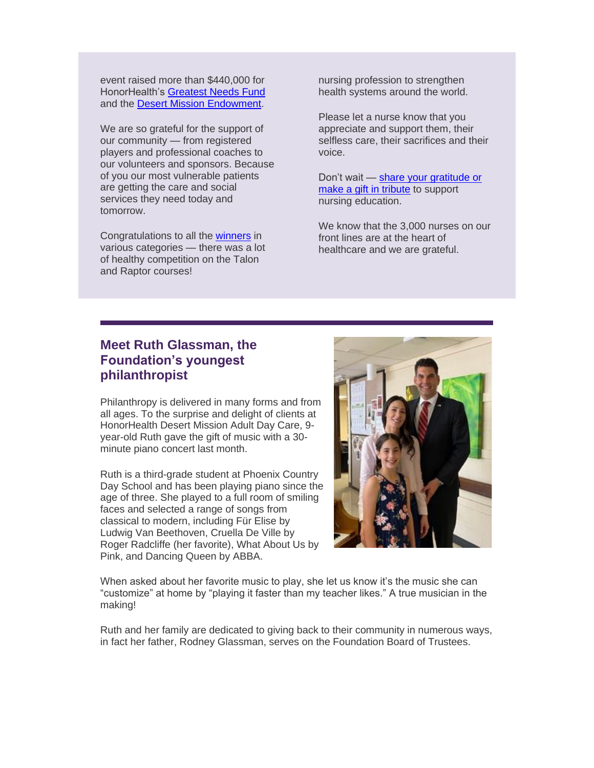event raised more than \$440,000 for HonorHealth's [Greatest Needs Fund](https://urldefense.com/v3/__https:/eml-pusa01.app.blackbaud.net/intv2/j/85620EF5-FA44-4137-9FA3-E70D337BEF54/r/85620EF5-FA44-4137-9FA3-E70D337BEF54_4be9cca0-6b76-42eb-935e-ca016feb4243/l/8340D0CF-0982-42F9-83E8-A42BC86E358D/c__;!!AtGvImiT!2fXxGg7TbNLjm-SM5isA1ob7abRdGDYaRXo9MtV19av9FjYIc20uwPyQvh4FMI46ZYXWxPurpZTRJXruJMq0GCN6Vw$) and the [Desert Mission Endowment.](https://urldefense.com/v3/__https:/eml-pusa01.app.blackbaud.net/intv2/j/85620EF5-FA44-4137-9FA3-E70D337BEF54/r/85620EF5-FA44-4137-9FA3-E70D337BEF54_4be9cca0-6b76-42eb-935e-ca016feb4243/l/2F820DB5-B3B7-4EFF-A6F7-749101A1CA04/c__;!!AtGvImiT!2fXxGg7TbNLjm-SM5isA1ob7abRdGDYaRXo9MtV19av9FjYIc20uwPyQvh4FMI46ZYXWxPurpZTRJXruJMp2NQoe0w$)

We are so grateful for the support of our community — from registered players and professional coaches to our volunteers and sponsors. Because of you our most vulnerable patients are getting the care and social services they need today and tomorrow.

Congratulations to all the [winners](https://urldefense.com/v3/__https:/eml-pusa01.app.blackbaud.net/intv2/j/85620EF5-FA44-4137-9FA3-E70D337BEF54/r/85620EF5-FA44-4137-9FA3-E70D337BEF54_4be9cca0-6b76-42eb-935e-ca016feb4243/l/52A09259-A8A5-4D24-B902-9785CDE23A82/c__;!!AtGvImiT!2fXxGg7TbNLjm-SM5isA1ob7abRdGDYaRXo9MtV19av9FjYIc20uwPyQvh4FMI46ZYXWxPurpZTRJXruJMpzBSmB9Q$) in various categories — there was a lot of healthy competition on the Talon and Raptor courses!

nursing profession to strengthen health systems around the world.

Please let a nurse know that you appreciate and support them, their selfless care, their sacrifices and their voice.

Don't wait — [share your gratitude or](https://urldefense.com/v3/__https:/eml-pusa01.app.blackbaud.net/intv2/j/85620EF5-FA44-4137-9FA3-E70D337BEF54/r/85620EF5-FA44-4137-9FA3-E70D337BEF54_4be9cca0-6b76-42eb-935e-ca016feb4243/l/F6BA39C2-633A-450D-AB9B-02D84678D691/c__;!!AtGvImiT!2fXxGg7TbNLjm-SM5isA1ob7abRdGDYaRXo9MtV19av9FjYIc20uwPyQvh4FMI46ZYXWxPurpZTRJXruJMqo8fvHeQ$)  [make a gift in tribute](https://urldefense.com/v3/__https:/eml-pusa01.app.blackbaud.net/intv2/j/85620EF5-FA44-4137-9FA3-E70D337BEF54/r/85620EF5-FA44-4137-9FA3-E70D337BEF54_4be9cca0-6b76-42eb-935e-ca016feb4243/l/F6BA39C2-633A-450D-AB9B-02D84678D691/c__;!!AtGvImiT!2fXxGg7TbNLjm-SM5isA1ob7abRdGDYaRXo9MtV19av9FjYIc20uwPyQvh4FMI46ZYXWxPurpZTRJXruJMqo8fvHeQ$) to support nursing education.

We know that the 3,000 nurses on our front lines are at the heart of healthcare and we are grateful.

### **Meet Ruth Glassman, the Foundation's youngest philanthropist**

Philanthropy is delivered in many forms and from all ages. To the surprise and delight of clients at HonorHealth Desert Mission Adult Day Care, 9 year-old Ruth gave the gift of music with a 30 minute piano concert last month.

Ruth is a third-grade student at Phoenix Country Day School and has been playing piano since the age of three. She played to a full room of smiling faces and selected a range of songs from classical to modern, including Für Elise by Ludwig Van Beethoven, Cruella De Ville by Roger Radcliffe (her favorite), What About Us by Pink, and Dancing Queen by ABBA.



When asked about her favorite music to play, she let us know it's the music she can "customize" at home by "playing it faster than my teacher likes." A true musician in the making!

Ruth and her family are dedicated to giving back to their community in numerous ways, in fact her father, Rodney Glassman, serves on the Foundation Board of Trustees.